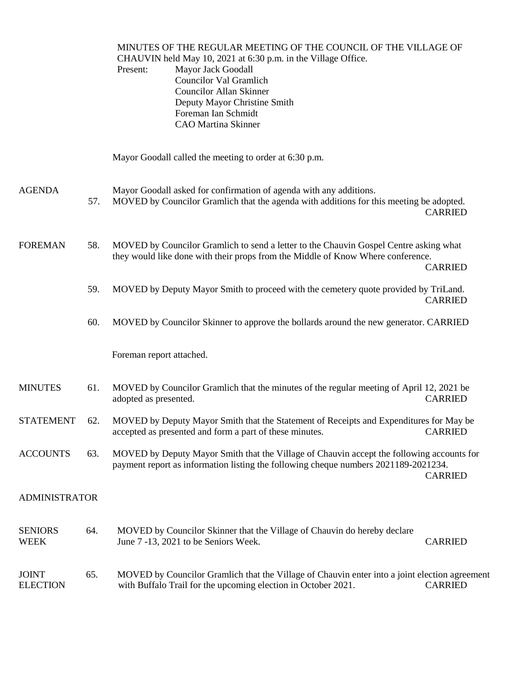MINUTES OF THE REGULAR MEETING OF THE COUNCIL OF THE VILLAGE OF CHAUVIN held May 10, 2021 at 6:30 p.m. in the Village Office. Present: Mayor Jack Goodall Councilor Val Gramlich Councilor Allan Skinner Deputy Mayor Christine Smith Foreman Ian Schmidt CAO Martina Skinner Mayor Goodall called the meeting to order at 6:30 p.m. AGENDA Mayor Goodall asked for confirmation of agenda with any additions. 57. MOVED by Councilor Gramlich that the agenda with additions for this meeting be adopted. CARRIED FOREMAN 58. MOVED by Councilor Gramlich to send a letter to the Chauvin Gospel Centre asking what they would like done with their props from the Middle of Know Where conference. CARRIED 59. MOVED by Deputy Mayor Smith to proceed with the cemetery quote provided by TriLand. CARRIED 60. MOVED by Councilor Skinner to approve the bollards around the new generator. CARRIED Foreman report attached. MINUTES 61. MOVED by Councilor Gramlich that the minutes of the regular meeting of April 12, 2021 be adopted as presented. CARRIED STATEMENT 62. MOVED by Deputy Mayor Smith that the Statement of Receipts and Expenditures for May be accepted as presented and form a part of these minutes. CARRIED ACCOUNTS 63. MOVED by Deputy Mayor Smith that the Village of Chauvin accept the following accounts for payment report as information listing the following cheque numbers 2021189-2021234. CARRIED ADMINISTRATOR SENIORS 64. MOVED by Councilor Skinner that the Village of Chauvin do hereby declare WEEK June 7 -13, 2021 to be Seniors Week. CARRIED JOINT 65. MOVED by Councilor Gramlich that the Village of Chauvin enter into a joint election agreement ELECTION with Buffalo Trail for the upcoming election in October 2021. CARRIED